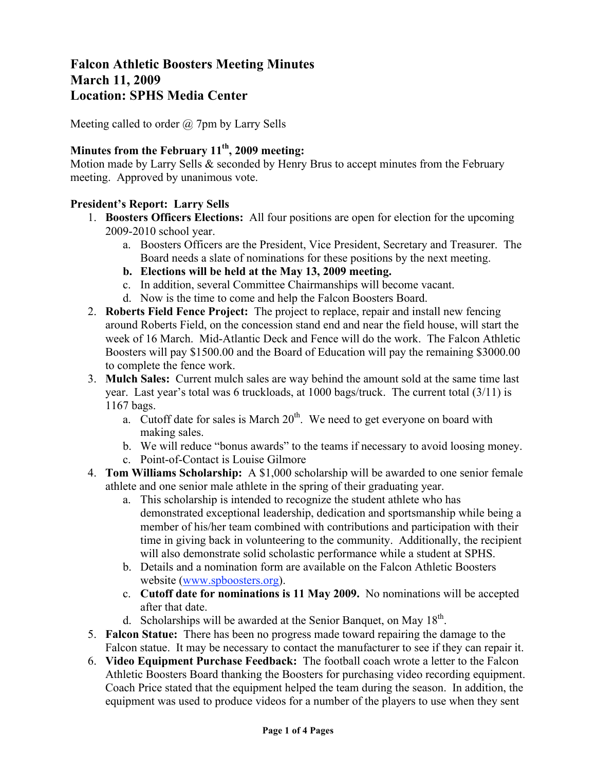# **Falcon Athletic Boosters Meeting Minutes March 11, 2009 Location: SPHS Media Center**

Meeting called to order  $\omega$  7pm by Larry Sells

# **Minutes from the February 11th, 2009 meeting:**

Motion made by Larry Sells & seconded by Henry Brus to accept minutes from the February meeting. Approved by unanimous vote.

#### **President's Report: Larry Sells**

- 1. **Boosters Officers Elections:** All four positions are open for election for the upcoming 2009-2010 school year.
	- a. Boosters Officers are the President, Vice President, Secretary and Treasurer. The Board needs a slate of nominations for these positions by the next meeting.
	- **b. Elections will be held at the May 13, 2009 meeting.**
	- c. In addition, several Committee Chairmanships will become vacant.
	- d. Now is the time to come and help the Falcon Boosters Board.
- 2. **Roberts Field Fence Project:** The project to replace, repair and install new fencing around Roberts Field, on the concession stand end and near the field house, will start the week of 16 March. Mid-Atlantic Deck and Fence will do the work. The Falcon Athletic Boosters will pay \$1500.00 and the Board of Education will pay the remaining \$3000.00 to complete the fence work.
- 3. **Mulch Sales:** Current mulch sales are way behind the amount sold at the same time last year. Last year's total was 6 truckloads, at 1000 bags/truck. The current total (3/11) is 1167 bags.
	- a. Cutoff date for sales is March  $20<sup>th</sup>$ . We need to get everyone on board with making sales.
	- b. We will reduce "bonus awards" to the teams if necessary to avoid loosing money.
	- c. Point-of-Contact is Louise Gilmore
- 4. **Tom Williams Scholarship:** A \$1,000 scholarship will be awarded to one senior female athlete and one senior male athlete in the spring of their graduating year.
	- a. This scholarship is intended to recognize the student athlete who has demonstrated exceptional leadership, dedication and sportsmanship while being a member of his/her team combined with contributions and participation with their time in giving back in volunteering to the community. Additionally, the recipient will also demonstrate solid scholastic performance while a student at SPHS.
	- b. Details and a nomination form are available on the Falcon Athletic Boosters website (www.spboosters.org).
	- c. **Cutoff date for nominations is 11 May 2009.** No nominations will be accepted after that date.
	- d. Scholarships will be awarded at the Senior Banquet, on May  $18<sup>th</sup>$ .
- 5. **Falcon Statue:** There has been no progress made toward repairing the damage to the Falcon statue. It may be necessary to contact the manufacturer to see if they can repair it.
- 6. **Video Equipment Purchase Feedback:** The football coach wrote a letter to the Falcon Athletic Boosters Board thanking the Boosters for purchasing video recording equipment. Coach Price stated that the equipment helped the team during the season. In addition, the equipment was used to produce videos for a number of the players to use when they sent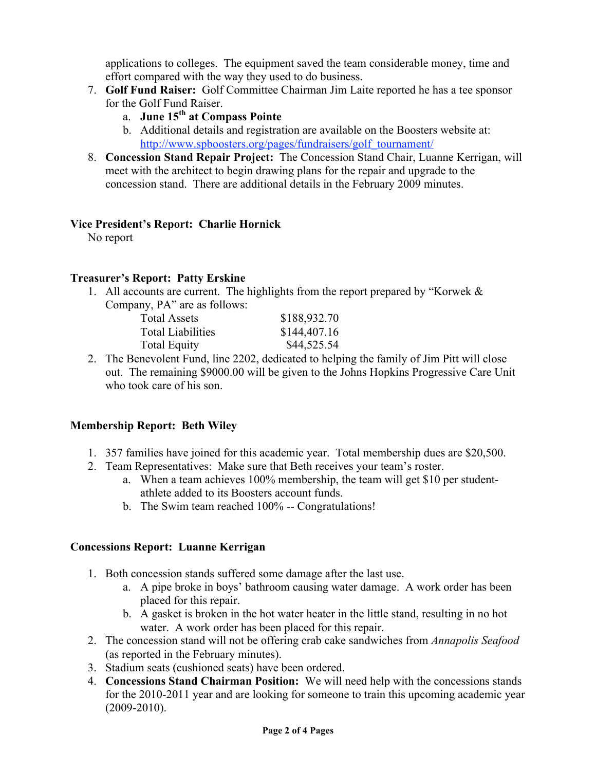applications to colleges. The equipment saved the team considerable money, time and effort compared with the way they used to do business.

- 7. **Golf Fund Raiser:** Golf Committee Chairman Jim Laite reported he has a tee sponsor for the Golf Fund Raiser.
	- a. **June 15th at Compass Pointe**
	- b. Additional details and registration are available on the Boosters website at: http://www.spboosters.org/pages/fundraisers/golf\_tournament/
- 8. **Concession Stand Repair Project:** The Concession Stand Chair, Luanne Kerrigan, will meet with the architect to begin drawing plans for the repair and upgrade to the concession stand. There are additional details in the February 2009 minutes.

### **Vice President's Report: Charlie Hornick**

No report

### **Treasurer's Report: Patty Erskine**

1. All accounts are current. The highlights from the report prepared by "Korwek & Company, PA" are as follows:

| <b>Total Assets</b>      | \$188,932.70 |
|--------------------------|--------------|
| <b>Total Liabilities</b> | \$144,407.16 |
| <b>Total Equity</b>      | \$44,525.54  |
|                          |              |

2. The Benevolent Fund, line 2202, dedicated to helping the family of Jim Pitt will close out. The remaining \$9000.00 will be given to the Johns Hopkins Progressive Care Unit who took care of his son.

# **Membership Report: Beth Wiley**

- 1. 357 families have joined for this academic year. Total membership dues are \$20,500.
- 2. Team Representatives: Make sure that Beth receives your team's roster.
	- a. When a team achieves 100% membership, the team will get \$10 per studentathlete added to its Boosters account funds.
	- b. The Swim team reached 100% -- Congratulations!

### **Concessions Report: Luanne Kerrigan**

- 1. Both concession stands suffered some damage after the last use.
	- a. A pipe broke in boys' bathroom causing water damage. A work order has been placed for this repair.
	- b. A gasket is broken in the hot water heater in the little stand, resulting in no hot water. A work order has been placed for this repair.
- 2. The concession stand will not be offering crab cake sandwiches from *Annapolis Seafood* (as reported in the February minutes).
- 3. Stadium seats (cushioned seats) have been ordered.
- 4. **Concessions Stand Chairman Position:** We will need help with the concessions stands for the 2010-2011 year and are looking for someone to train this upcoming academic year (2009-2010).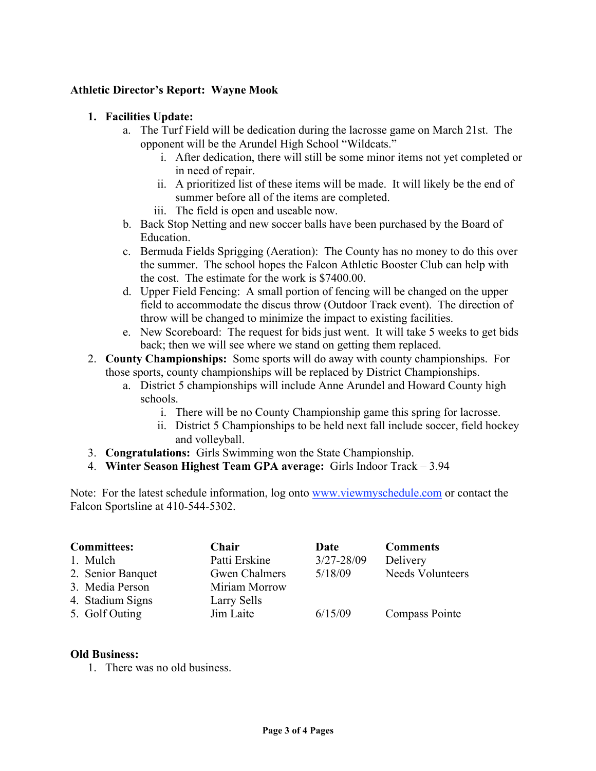#### **Athletic Director's Report: Wayne Mook**

#### **1. Facilities Update:**

- a. The Turf Field will be dedication during the lacrosse game on March 21st. The opponent will be the Arundel High School "Wildcats."
	- i. After dedication, there will still be some minor items not yet completed or in need of repair.
	- ii. A prioritized list of these items will be made. It will likely be the end of summer before all of the items are completed.
	- iii. The field is open and useable now.
- b. Back Stop Netting and new soccer balls have been purchased by the Board of Education.
- c. Bermuda Fields Sprigging (Aeration): The County has no money to do this over the summer. The school hopes the Falcon Athletic Booster Club can help with the cost. The estimate for the work is \$7400.00.
- d. Upper Field Fencing: A small portion of fencing will be changed on the upper field to accommodate the discus throw (Outdoor Track event). The direction of throw will be changed to minimize the impact to existing facilities.
- e. New Scoreboard: The request for bids just went. It will take 5 weeks to get bids back; then we will see where we stand on getting them replaced.
- 2. **County Championships:** Some sports will do away with county championships. For those sports, county championships will be replaced by District Championships.
	- a. District 5 championships will include Anne Arundel and Howard County high schools.
		- i. There will be no County Championship game this spring for lacrosse.
		- ii. District 5 Championships to be held next fall include soccer, field hockey and volleyball.
- 3. **Congratulations:** Girls Swimming won the State Championship.
- 4. **Winter Season Highest Team GPA average:** Girls Indoor Track 3.94

Note: For the latest schedule information, log onto www.viewmyschedule.com or contact the Falcon Sportsline at 410-544-5302.

| <b>Committees:</b> | Chair                | Date           | <b>Comments</b>         |
|--------------------|----------------------|----------------|-------------------------|
| 1. Mulch           | Patti Erskine        | $3/27 - 28/09$ | Delivery                |
| 2. Senior Banquet  | <b>Gwen Chalmers</b> | 5/18/09        | <b>Needs Volunteers</b> |
| 3. Media Person    | Miriam Morrow        |                |                         |
| 4. Stadium Signs   | Larry Sells          |                |                         |
| 5. Golf Outing     | Jim Laite            | 6/15/09        | <b>Compass Pointe</b>   |

#### **Old Business:**

1. There was no old business.